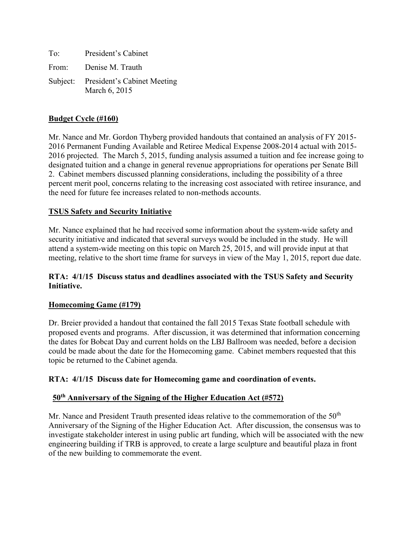To: President's Cabinet From: Denise M. Trauth Subject: President's Cabinet Meeting March 6, 2015

### **Budget Cycle (#160)**

Mr. Nance and Mr. Gordon Thyberg provided handouts that contained an analysis of FY 2015- 2016 Permanent Funding Available and Retiree Medical Expense 2008-2014 actual with 2015- 2016 projected. The March 5, 2015, funding analysis assumed a tuition and fee increase going to designated tuition and a change in general revenue appropriations for operations per Senate Bill 2. Cabinet members discussed planning considerations, including the possibility of a three percent merit pool, concerns relating to the increasing cost associated with retiree insurance, and the need for future fee increases related to non-methods accounts.

### **TSUS Safety and Security Initiative**

Mr. Nance explained that he had received some information about the system-wide safety and security initiative and indicated that several surveys would be included in the study. He will attend a system-wide meeting on this topic on March 25, 2015, and will provide input at that meeting, relative to the short time frame for surveys in view of the May 1, 2015, report due date.

# **RTA: 4/1/15 Discuss status and deadlines associated with the TSUS Safety and Security Initiative.**

# **Homecoming Game (#179)**

Dr. Breier provided a handout that contained the fall 2015 Texas State football schedule with proposed events and programs. After discussion, it was determined that information concerning the dates for Bobcat Day and current holds on the LBJ Ballroom was needed, before a decision could be made about the date for the Homecoming game. Cabinet members requested that this topic be returned to the Cabinet agenda.

#### **RTA: 4/1/15 Discuss date for Homecoming game and coordination of events.**

#### **50th Anniversary of the Signing of the Higher Education Act (#572)**

Mr. Nance and President Trauth presented ideas relative to the commemoration of the  $50<sup>th</sup>$ Anniversary of the Signing of the Higher Education Act. After discussion, the consensus was to investigate stakeholder interest in using public art funding, which will be associated with the new engineering building if TRB is approved, to create a large sculpture and beautiful plaza in front of the new building to commemorate the event.